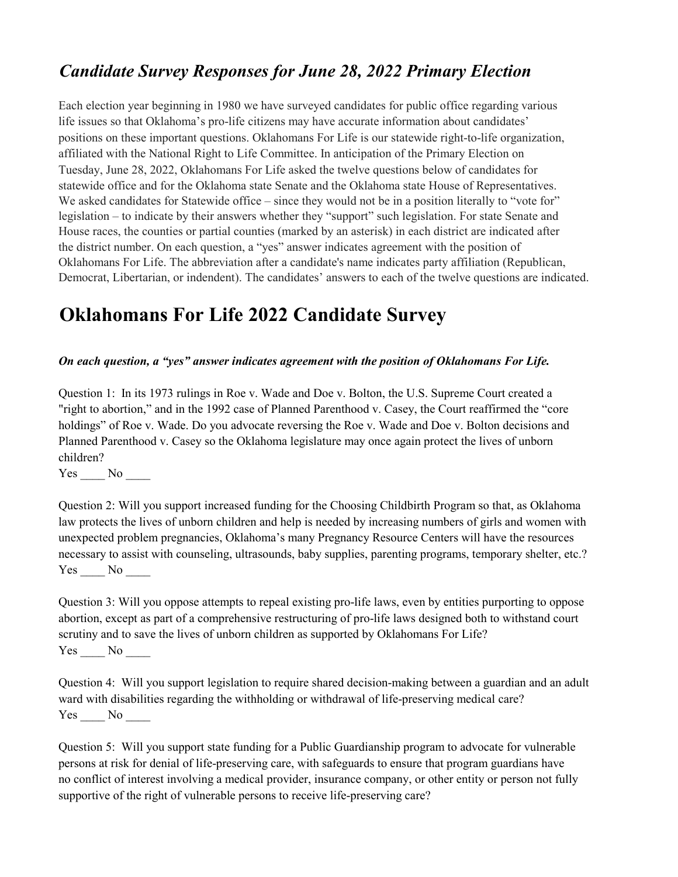## *Candidate Survey Responses for June 28, 2022 Primary Election*

Each election year beginning in 1980 we have surveyed candidates for public office regarding various life issues so that Oklahoma's pro-life citizens may have accurate information about candidates' positions on these important questions. Oklahomans For Life is our statewide right-to-life organization, affiliated with the National Right to Life Committee. In anticipation of the Primary Election on Tuesday, June 28, 2022, Oklahomans For Life asked the twelve questions below of candidates for statewide office and for the Oklahoma state Senate and the Oklahoma state House of Representatives. We asked candidates for Statewide office  $-\sin$ ce they would not be in a position literally to "vote for" legislation – to indicate by their answers whether they "support" such legislation. For state Senate and House races, the counties or partial counties (marked by an asterisk) in each district are indicated after the district number. On each question, a "yes" answer indicates agreement with the position of Oklahomans For Life. The abbreviation after a candidate's name indicates party affiliation (Republican, Democrat, Libertarian, or indendent). The candidates' answers to each of the twelve questions are indicated.

# **Oklahomans For Life 2022 Candidate Survey**

#### *On each question, a "yes" answer indicates agreement with the position of Oklahomans For Life.*

Question 1: In its 1973 rulings in Roe v. Wade and Doe v. Bolton, the U.S. Supreme Court created a "right to abortion," and in the 1992 case of Planned Parenthood v. Casey, the Court reaffirmed the "core" holdings" of Roe v. Wade. Do you advocate reversing the Roe v. Wade and Doe v. Bolton decisions and Planned Parenthood v. Casey so the Oklahoma legislature may once again protect the lives of unborn children?

Yes \_\_\_\_ No \_\_\_\_

Question 2: Will you support increased funding for the Choosing Childbirth Program so that, as Oklahoma law protects the lives of unborn children and help is needed by increasing numbers of girls and women with unexpected problem pregnancies, Oklahoma's many Pregnancy Resource Centers will have the resources necessary to assist with counseling, ultrasounds, baby supplies, parenting programs, temporary shelter, etc.? Yes No

Question 3: Will you oppose attempts to repeal existing pro-life laws, even by entities purporting to oppose abortion, except as part of a comprehensive restructuring of pro-life laws designed both to withstand court scrutiny and to save the lives of unborn children as supported by Oklahomans For Life? Yes \_\_\_\_ No \_\_\_\_

Question 4: Will you support legislation to require shared decision-making between a guardian and an adult ward with disabilities regarding the withholding or withdrawal of life-preserving medical care?  $Yes \_\_ No \_\_$ 

Question 5: Will you support state funding for a Public Guardianship program to advocate for vulnerable persons at risk for denial of life-preserving care, with safeguards to ensure that program guardians have no conflict of interest involving a medical provider, insurance company, or other entity or person not fully supportive of the right of vulnerable persons to receive life-preserving care?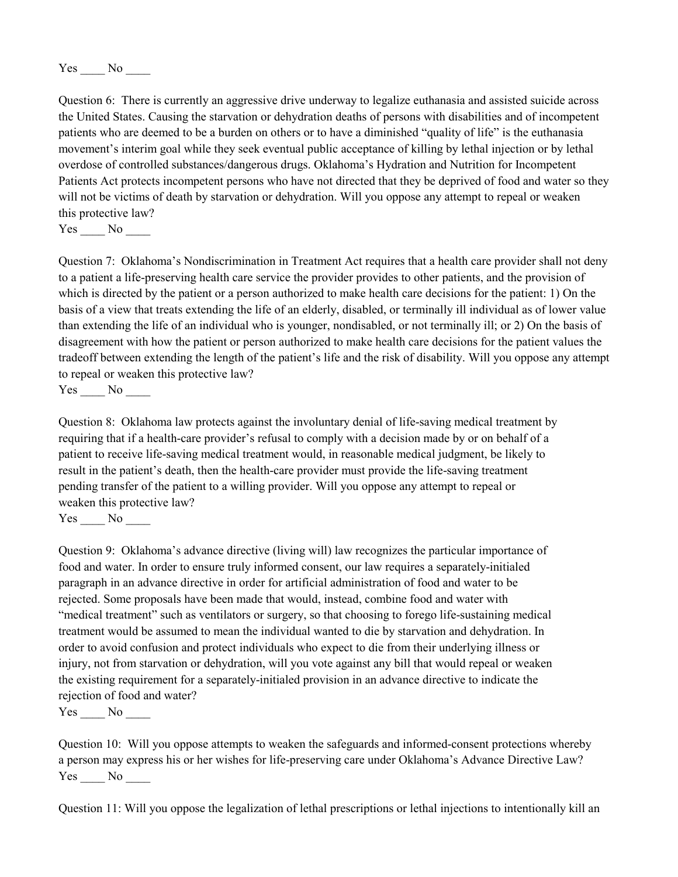Yes No

Question 6: There is currently an aggressive drive underway to legalize euthanasia and assisted suicide across the United States. Causing the starvation or dehydration deaths of persons with disabilities and of incompetent patients who are deemed to be a burden on others or to have a diminished "quality of life" is the euthanasia movement's interim goal while they seek eventual public acceptance of killing by lethal injection or by lethal overdose of controlled substances/dangerous drugs. Oklahoma's Hydration and Nutrition for Incompetent Patients Act protects incompetent persons who have not directed that they be deprived of food and water so they will not be victims of death by starvation or dehydration. Will you oppose any attempt to repeal or weaken this protective law?

Yes No

Question 7: Oklahoma's Nondiscrimination in Treatment Act requires that a health care provider shall not deny to a patient a life-preserving health care service the provider provides to other patients, and the provision of which is directed by the patient or a person authorized to make health care decisions for the patient: 1) On the basis of a view that treats extending the life of an elderly, disabled, or terminally ill individual as of lower value than extending the life of an individual who is younger, nondisabled, or not terminally ill; or 2) On the basis of disagreement with how the patient or person authorized to make health care decisions for the patient values the tradeoff between extending the length of the patient's life and the risk of disability. Will you oppose any attempt to repeal or weaken this protective law?

Yes No

Question 8: Oklahoma law protects against the involuntary denial of life-saving medical treatment by requiring that if a health-care provider's refusal to comply with a decision made by or on behalf of a patient to receive life-saving medical treatment would, in reasonable medical judgment, be likely to result in the patient's death, then the health-care provider must provide the life-saving treatment pending transfer of the patient to a willing provider. Will you oppose any attempt to repeal or weaken this protective law?

Yes No

Question 9: Oklahoma's advance directive (living will) law recognizes the particular importance of food and water. In order to ensure truly informed consent, our law requires a separately-initialed paragraph in an advance directive in order for artificial administration of food and water to be rejected. Some proposals have been made that would, instead, combine food and water with "medical treatment" such as ventilators or surgery, so that choosing to forego life-sustaining medical treatment would be assumed to mean the individual wanted to die by starvation and dehydration. In order to avoid confusion and protect individuals who expect to die from their underlying illness or injury, not from starvation or dehydration, will you vote against any bill that would repeal or weaken the existing requirement for a separately-initialed provision in an advance directive to indicate the rejection of food and water?

Yes No

Question 10: Will you oppose attempts to weaken the safeguards and informed-consent protections whereby a person may express his or her wishes for life-preserving care under Oklahoma's Advance Directive Law? Yes No

Question 11: Will you oppose the legalization of lethal prescriptions or lethal injections to intentionally kill an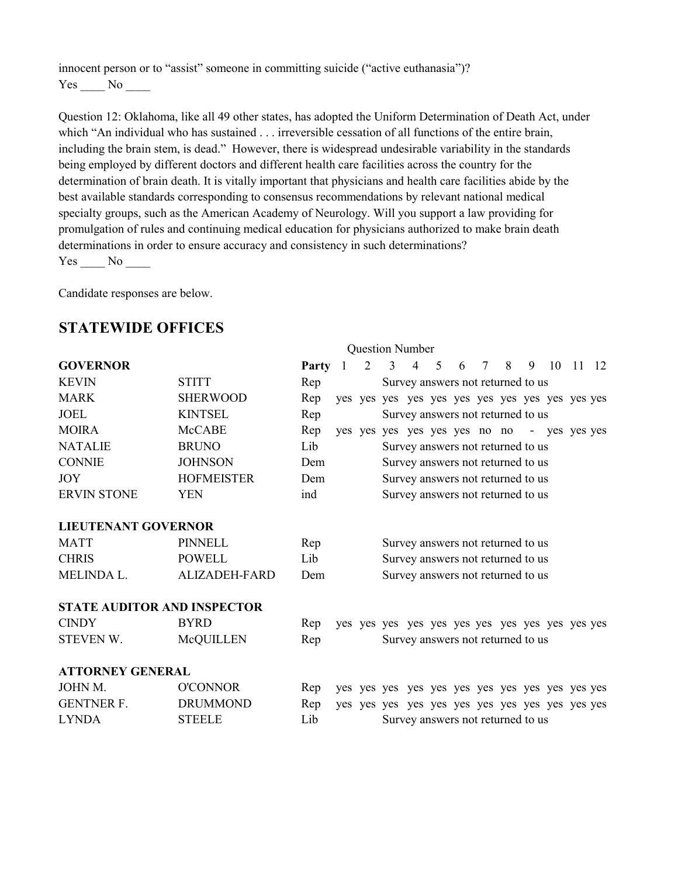innocent person or to "assist" someone in committing suicide ("active euthanasia")?  $Yes \_\_ No \_\_$ 

Question 12: Oklahoma, like all 49 other states, has adopted the Uniform Determination of Death Act, under which "An individual who has sustained . . . irreversible cessation of all functions of the entire brain, including the brain stem, is dead.<sup>\*</sup> However, there is widespread undesirable variability in the standards being employed by different doctors and different health care facilities across the country for the determination of brain death. It is vitally important that physicians and health care facilities abide by the best available standards corresponding to consensus recommendations by relevant national medical specialty groups, such as the American Academy of Neurology. Will you support a law providing for promulgation of rules and continuing medical education for physicians authorized to make brain death determinations in order to ensure accuracy and consistency in such determinations?  $Yes \_\_ No \_\_$ 

Candidate responses are below.

#### **STATEWIDE OFFICES**

|                                    | <b>Question Number</b> |       |                |   |   |                |   |   |            |                                             |   |    |       |  |
|------------------------------------|------------------------|-------|----------------|---|---|----------------|---|---|------------|---------------------------------------------|---|----|-------|--|
| <b>GOVERNOR</b>                    |                        | Party | $\blacksquare$ | 2 | 3 | $\overline{4}$ | 5 | 6 | $7\degree$ | 8                                           | 9 | 10 | 11 12 |  |
| <b>KEVIN</b>                       | <b>STITT</b>           | Rep   |                |   |   |                |   |   |            | Survey answers not returned to us           |   |    |       |  |
| <b>MARK</b>                        | <b>SHERWOOD</b>        | Rep   |                |   |   |                |   |   |            |                                             |   |    |       |  |
| <b>JOEL</b>                        | <b>KINTSEL</b>         | Rep   |                |   |   |                |   |   |            | Survey answers not returned to us           |   |    |       |  |
| <b>MOIRA</b>                       | <b>McCABE</b>          | Rep   |                |   |   |                |   |   |            | yes yes yes yes yes yes no no - yes yes yes |   |    |       |  |
| <b>NATALIE</b>                     | <b>BRUNO</b>           | Lib   |                |   |   |                |   |   |            | Survey answers not returned to us           |   |    |       |  |
| <b>CONNIE</b>                      | <b>JOHNSON</b>         | Dem   |                |   |   |                |   |   |            | Survey answers not returned to us           |   |    |       |  |
| <b>JOY</b>                         | <b>HOFMEISTER</b>      | Dem   |                |   |   |                |   |   |            | Survey answers not returned to us           |   |    |       |  |
| <b>ERVIN STONE</b>                 | <b>YEN</b>             | ind   |                |   |   |                |   |   |            | Survey answers not returned to us           |   |    |       |  |
| <b>LIEUTENANT GOVERNOR</b>         |                        |       |                |   |   |                |   |   |            |                                             |   |    |       |  |
| <b>MATT</b>                        | <b>PINNELL</b>         | Rep   |                |   |   |                |   |   |            | Survey answers not returned to us           |   |    |       |  |
| <b>CHRIS</b>                       | <b>POWELL</b>          | Lib   |                |   |   |                |   |   |            | Survey answers not returned to us           |   |    |       |  |
| MELINDA L.                         | <b>ALIZADEH-FARD</b>   | Dem   |                |   |   |                |   |   |            | Survey answers not returned to us           |   |    |       |  |
| <b>STATE AUDITOR AND INSPECTOR</b> |                        |       |                |   |   |                |   |   |            |                                             |   |    |       |  |
| <b>CINDY</b>                       | <b>BYRD</b>            | Rep   |                |   |   |                |   |   |            |                                             |   |    |       |  |
| STEVEN W.                          | McQUILLEN              | Rep   |                |   |   |                |   |   |            | Survey answers not returned to us           |   |    |       |  |
| <b>ATTORNEY GENERAL</b>            |                        |       |                |   |   |                |   |   |            |                                             |   |    |       |  |
| JOHN M.                            | <b>O'CONNOR</b>        | Rep   |                |   |   |                |   |   |            |                                             |   |    |       |  |
| <b>GENTNER F.</b>                  | <b>DRUMMOND</b>        | Rep   |                |   |   |                |   |   |            |                                             |   |    |       |  |
| <b>LYNDA</b>                       | <b>STEELE</b>          | Lib   |                |   |   |                |   |   |            | Survey answers not returned to us           |   |    |       |  |
|                                    |                        |       |                |   |   |                |   |   |            |                                             |   |    |       |  |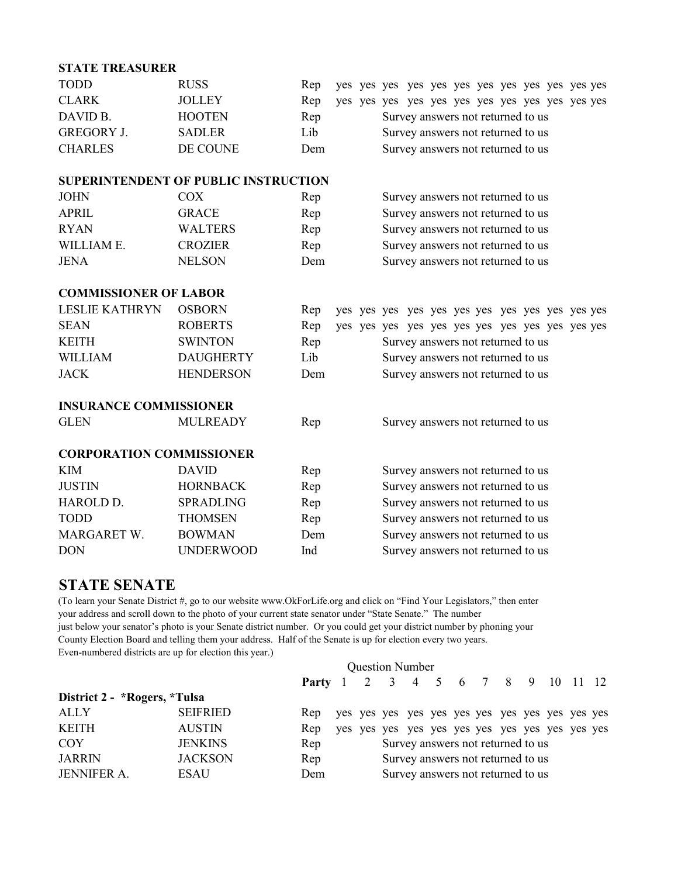| <b>STATE TREASURER</b>          |                                             |     |  |                                   |
|---------------------------------|---------------------------------------------|-----|--|-----------------------------------|
| <b>TODD</b>                     | <b>RUSS</b>                                 | Rep |  |                                   |
| <b>CLARK</b>                    | <b>JOLLEY</b>                               | Rep |  |                                   |
| DAVID B.                        | <b>HOOTEN</b>                               | Rep |  | Survey answers not returned to us |
| <b>GREGORY J.</b>               | <b>SADLER</b>                               | Lib |  | Survey answers not returned to us |
| <b>CHARLES</b>                  | DE COUNE                                    | Dem |  | Survey answers not returned to us |
|                                 | <b>SUPERINTENDENT OF PUBLIC INSTRUCTION</b> |     |  |                                   |
| <b>JOHN</b>                     | <b>COX</b>                                  | Rep |  | Survey answers not returned to us |
| <b>APRIL</b>                    | <b>GRACE</b>                                | Rep |  | Survey answers not returned to us |
| <b>RYAN</b>                     | <b>WALTERS</b>                              | Rep |  | Survey answers not returned to us |
| WILLIAM E.                      | <b>CROZIER</b>                              | Rep |  | Survey answers not returned to us |
| <b>JENA</b>                     | <b>NELSON</b>                               | Dem |  | Survey answers not returned to us |
| <b>COMMISSIONER OF LABOR</b>    |                                             |     |  |                                   |
| <b>LESLIE KATHRYN</b>           | <b>OSBORN</b>                               | Rep |  |                                   |
| <b>SEAN</b>                     | <b>ROBERTS</b>                              | Rep |  |                                   |
| <b>KEITH</b>                    | <b>SWINTON</b>                              | Rep |  | Survey answers not returned to us |
| <b>WILLIAM</b>                  | <b>DAUGHERTY</b>                            | Lib |  | Survey answers not returned to us |
| <b>JACK</b>                     | <b>HENDERSON</b>                            | Dem |  | Survey answers not returned to us |
| <b>INSURANCE COMMISSIONER</b>   |                                             |     |  |                                   |
| <b>GLEN</b>                     | <b>MULREADY</b>                             | Rep |  | Survey answers not returned to us |
| <b>CORPORATION COMMISSIONER</b> |                                             |     |  |                                   |
| <b>KIM</b>                      | <b>DAVID</b>                                | Rep |  | Survey answers not returned to us |
| <b>JUSTIN</b>                   | <b>HORNBACK</b>                             | Rep |  | Survey answers not returned to us |
| HAROLD D.                       | <b>SPRADLING</b>                            | Rep |  | Survey answers not returned to us |
| <b>TODD</b>                     | <b>THOMSEN</b>                              | Rep |  | Survey answers not returned to us |
| MARGARET W.                     | <b>BOWMAN</b>                               | Dem |  | Survey answers not returned to us |
| <b>DON</b>                      | <b>UNDERWOOD</b>                            | Ind |  | Survey answers not returned to us |

#### **STATE SENATE**

(To learn your Senate District #, go to our website www.OkForLife.org and click on "Find Your Legislators," then enter your address and scroll down to the photo of your current state senator under "State Senate." The number just below your senator's photo is your Senate district number. Or you could get your district number by phoning your County Election Board and telling them your address. Half of the Senate is up for election every two years. Even-numbered districts are up for election this year.)

|                              |                 | <b>Question Number</b>                  |  |  |  |  |  |  |                                   |  |  |  |
|------------------------------|-----------------|-----------------------------------------|--|--|--|--|--|--|-----------------------------------|--|--|--|
|                              |                 | <b>Party</b> 1 2 3 4 5 6 7 8 9 10 11 12 |  |  |  |  |  |  |                                   |  |  |  |
| District 2 - *Rogers, *Tulsa |                 |                                         |  |  |  |  |  |  |                                   |  |  |  |
| <b>ALLY</b>                  | <b>SEIFRIED</b> | Rep.                                    |  |  |  |  |  |  |                                   |  |  |  |
| <b>KEITH</b>                 | <b>AUSTIN</b>   | Rep                                     |  |  |  |  |  |  |                                   |  |  |  |
| <b>COY</b>                   | <b>JENKINS</b>  | Rep                                     |  |  |  |  |  |  | Survey answers not returned to us |  |  |  |
| <b>JARRIN</b>                | <b>JACKSON</b>  | Rep                                     |  |  |  |  |  |  | Survey answers not returned to us |  |  |  |
| <b>JENNIFER A.</b>           | <b>ESAU</b>     | Dem                                     |  |  |  |  |  |  | Survey answers not returned to us |  |  |  |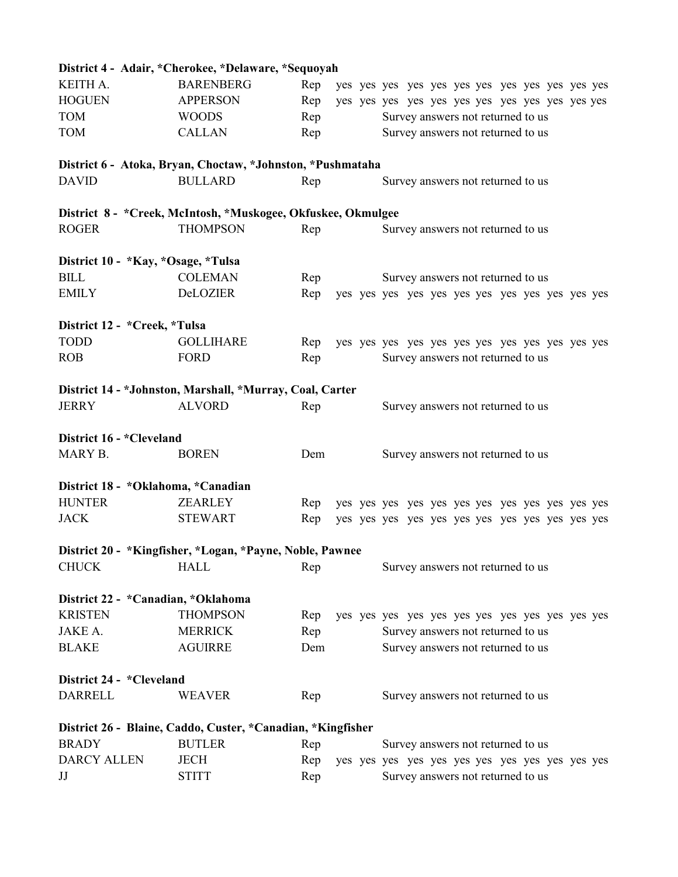|                                    | District 4 - Adair, *Cherokee, *Delaware, *Sequoyah            |            |  |                                   |  |
|------------------------------------|----------------------------------------------------------------|------------|--|-----------------------------------|--|
| KEITH A.                           | <b>BARENBERG</b>                                               | Rep        |  |                                   |  |
| <b>HOGUEN</b>                      | <b>APPERSON</b>                                                | Rep        |  |                                   |  |
| <b>TOM</b>                         | <b>WOODS</b>                                                   | Rep        |  | Survey answers not returned to us |  |
| <b>TOM</b>                         | <b>CALLAN</b>                                                  | Rep        |  | Survey answers not returned to us |  |
|                                    | District 6 - Atoka, Bryan, Choctaw, *Johnston, *Pushmataha     |            |  |                                   |  |
| <b>DAVID</b>                       | <b>BULLARD</b>                                                 | Rep        |  | Survey answers not returned to us |  |
|                                    | District 8 - * Creek, McIntosh, * Muskogee, Okfuskee, Okmulgee |            |  |                                   |  |
| <b>ROGER</b>                       | <b>THOMPSON</b>                                                | Rep        |  | Survey answers not returned to us |  |
|                                    |                                                                |            |  |                                   |  |
| District 10 - *Kay, *Osage, *Tulsa |                                                                |            |  |                                   |  |
| <b>BILL</b>                        | <b>COLEMAN</b>                                                 | Rep        |  | Survey answers not returned to us |  |
| <b>EMILY</b>                       | DeLOZIER                                                       | Rep        |  |                                   |  |
|                                    |                                                                |            |  |                                   |  |
| District 12 - * Creek, * Tulsa     |                                                                |            |  |                                   |  |
| <b>TODD</b>                        | <b>GOLLIHARE</b>                                               | Rep        |  |                                   |  |
| <b>ROB</b>                         | <b>FORD</b>                                                    | Rep        |  | Survey answers not returned to us |  |
|                                    | District 14 - *Johnston, Marshall, *Murray, Coal, Carter       |            |  |                                   |  |
| <b>JERRY</b>                       | <b>ALVORD</b>                                                  | Rep        |  | Survey answers not returned to us |  |
| District 16 - *Cleveland           |                                                                |            |  |                                   |  |
| MARY B.                            | <b>BOREN</b>                                                   | Dem        |  | Survey answers not returned to us |  |
| District 18 - *Oklahoma, *Canadian |                                                                |            |  |                                   |  |
| <b>HUNTER</b>                      | <b>ZEARLEY</b>                                                 | Rep        |  |                                   |  |
| <b>JACK</b>                        | <b>STEWART</b>                                                 | Rep        |  |                                   |  |
|                                    |                                                                |            |  |                                   |  |
|                                    |                                                                |            |  |                                   |  |
|                                    | District 20 - *Kingfisher, *Logan, *Payne, Noble, Pawnee       |            |  |                                   |  |
| <b>CHUCK</b>                       | <b>HALL</b>                                                    | Rep        |  | Survey answers not returned to us |  |
| District 22 - *Canadian, *Oklahoma |                                                                |            |  |                                   |  |
| <b>KRISTEN</b>                     | <b>THOMPSON</b>                                                | Rep        |  |                                   |  |
| JAKE A.                            | <b>MERRICK</b>                                                 | Rep        |  | Survey answers not returned to us |  |
| <b>BLAKE</b>                       | <b>AGUIRRE</b>                                                 | Dem        |  | Survey answers not returned to us |  |
| District 24 - *Cleveland           |                                                                |            |  |                                   |  |
| <b>DARRELL</b>                     | <b>WEAVER</b>                                                  | Rep        |  | Survey answers not returned to us |  |
|                                    |                                                                |            |  |                                   |  |
| <b>BRADY</b>                       | District 26 - Blaine, Caddo, Custer, *Canadian, *Kingfisher    |            |  |                                   |  |
| <b>DARCY ALLEN</b>                 | <b>BUTLER</b><br><b>JECH</b>                                   | Rep<br>Rep |  | Survey answers not returned to us |  |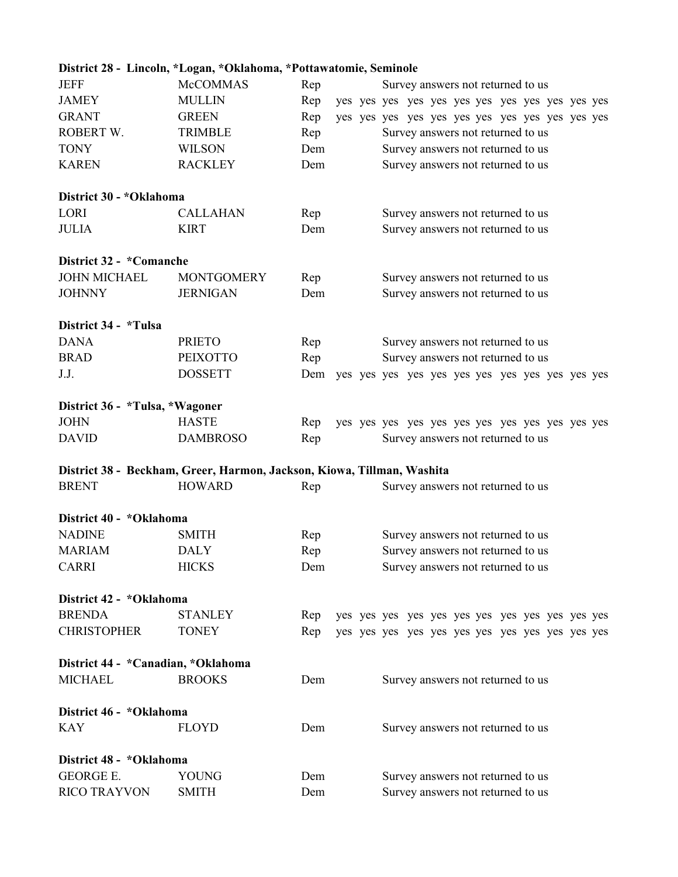|                                | District 28 - Lincoln, *Logan, *Oklahoma, *Pottawatomie, Seminole      |     |  |                                   |  |  |                                   |  |  |  |  |  |
|--------------------------------|------------------------------------------------------------------------|-----|--|-----------------------------------|--|--|-----------------------------------|--|--|--|--|--|
| <b>JEFF</b>                    | <b>McCOMMAS</b>                                                        | Rep |  |                                   |  |  | Survey answers not returned to us |  |  |  |  |  |
| <b>JAMEY</b>                   | <b>MULLIN</b>                                                          | Rep |  |                                   |  |  |                                   |  |  |  |  |  |
| <b>GRANT</b>                   | <b>GREEN</b>                                                           | Rep |  |                                   |  |  |                                   |  |  |  |  |  |
| ROBERT W.                      | <b>TRIMBLE</b>                                                         | Rep |  |                                   |  |  | Survey answers not returned to us |  |  |  |  |  |
| <b>TONY</b>                    | <b>WILSON</b>                                                          | Dem |  | Survey answers not returned to us |  |  |                                   |  |  |  |  |  |
| <b>KAREN</b>                   | <b>RACKLEY</b>                                                         | Dem |  |                                   |  |  | Survey answers not returned to us |  |  |  |  |  |
| District 30 - *Oklahoma        |                                                                        |     |  |                                   |  |  |                                   |  |  |  |  |  |
| LORI                           | <b>CALLAHAN</b>                                                        | Rep |  |                                   |  |  | Survey answers not returned to us |  |  |  |  |  |
| <b>JULIA</b>                   | <b>KIRT</b>                                                            | Dem |  |                                   |  |  | Survey answers not returned to us |  |  |  |  |  |
| District 32 - *Comanche        |                                                                        |     |  |                                   |  |  |                                   |  |  |  |  |  |
| <b>JOHN MICHAEL</b>            | <b>MONTGOMERY</b>                                                      | Rep |  |                                   |  |  | Survey answers not returned to us |  |  |  |  |  |
| <b>JOHNNY</b>                  | <b>JERNIGAN</b>                                                        | Dem |  |                                   |  |  | Survey answers not returned to us |  |  |  |  |  |
| District 34 - *Tulsa           |                                                                        |     |  |                                   |  |  |                                   |  |  |  |  |  |
| <b>DANA</b>                    | <b>PRIETO</b>                                                          | Rep |  |                                   |  |  | Survey answers not returned to us |  |  |  |  |  |
| <b>BRAD</b>                    | <b>PEIXOTTO</b>                                                        | Rep |  |                                   |  |  | Survey answers not returned to us |  |  |  |  |  |
| J.J.                           | <b>DOSSETT</b>                                                         |     |  |                                   |  |  |                                   |  |  |  |  |  |
| District 36 - *Tulsa, *Wagoner |                                                                        |     |  |                                   |  |  |                                   |  |  |  |  |  |
| <b>JOHN</b>                    | <b>HASTE</b>                                                           | Rep |  |                                   |  |  |                                   |  |  |  |  |  |
| <b>DAVID</b>                   | <b>DAMBROSO</b>                                                        | Rep |  |                                   |  |  | Survey answers not returned to us |  |  |  |  |  |
|                                | District 38 - Beckham, Greer, Harmon, Jackson, Kiowa, Tillman, Washita |     |  |                                   |  |  |                                   |  |  |  |  |  |
| <b>BRENT</b>                   | <b>HOWARD</b>                                                          | Rep |  |                                   |  |  | Survey answers not returned to us |  |  |  |  |  |
| District 40 - *Oklahoma        |                                                                        |     |  |                                   |  |  |                                   |  |  |  |  |  |
| <b>NADINE</b>                  | <b>SMITH</b>                                                           | Rep |  |                                   |  |  | Survey answers not returned to us |  |  |  |  |  |
| <b>MARIAM</b>                  | <b>DALY</b>                                                            | Rep |  |                                   |  |  | Survey answers not returned to us |  |  |  |  |  |
| <b>CARRI</b>                   | <b>HICKS</b>                                                           | Dem |  |                                   |  |  | Survey answers not returned to us |  |  |  |  |  |
| District 42 - *Oklahoma        |                                                                        |     |  |                                   |  |  |                                   |  |  |  |  |  |
| <b>BRENDA</b>                  | <b>STANLEY</b>                                                         | Rep |  |                                   |  |  |                                   |  |  |  |  |  |
| <b>CHRISTOPHER</b>             | <b>TONEY</b>                                                           | Rep |  |                                   |  |  |                                   |  |  |  |  |  |
|                                | District 44 - *Canadian, *Oklahoma                                     |     |  |                                   |  |  |                                   |  |  |  |  |  |
| <b>MICHAEL</b>                 | <b>BROOKS</b>                                                          | Dem |  |                                   |  |  | Survey answers not returned to us |  |  |  |  |  |
| District 46 - *Oklahoma        |                                                                        |     |  |                                   |  |  |                                   |  |  |  |  |  |
| <b>KAY</b>                     | <b>FLOYD</b>                                                           | Dem |  |                                   |  |  | Survey answers not returned to us |  |  |  |  |  |
| District 48 - *Oklahoma        |                                                                        |     |  |                                   |  |  |                                   |  |  |  |  |  |
| <b>GEORGE E.</b>               | <b>YOUNG</b>                                                           | Dem |  |                                   |  |  | Survey answers not returned to us |  |  |  |  |  |
| <b>RICO TRAYVON</b>            | <b>SMITH</b>                                                           | Dem |  |                                   |  |  | Survey answers not returned to us |  |  |  |  |  |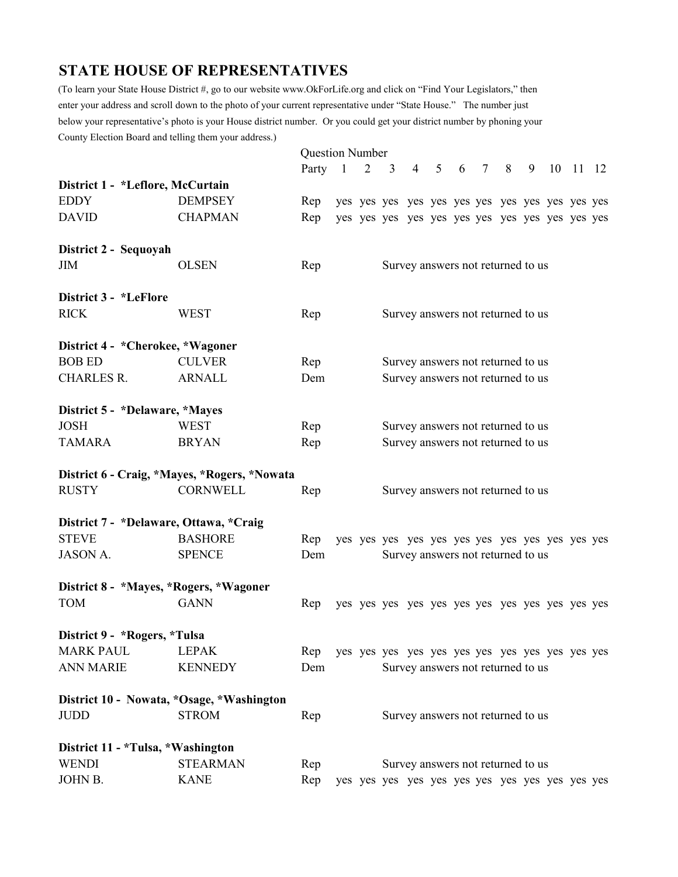### **STATE HOUSE OF REPRESENTATIVES**

(To learn your State House District #, go to our website www.OkForLife.org and click on "Find Your Legislators," then enter your address and scroll down to the photo of your current representative under "State House." The number just below your representative's photo is your House district number. Or you could get your district number by phoning your County Election Board and telling them your address.)

|                                        |                                              | <b>Question Number</b> |  |                                   |                                   |  |  |  |           |   |          |  |
|----------------------------------------|----------------------------------------------|------------------------|--|-----------------------------------|-----------------------------------|--|--|--|-----------|---|----------|--|
|                                        |                                              | Party 1                |  | $2 \quad 3$                       |                                   |  |  |  | 4 5 6 7 8 | 9 | 10 11 12 |  |
| District 1 - *Leflore, McCurtain       |                                              |                        |  |                                   |                                   |  |  |  |           |   |          |  |
| <b>EDDY</b>                            | <b>DEMPSEY</b>                               | Rep                    |  |                                   |                                   |  |  |  |           |   |          |  |
| <b>DAVID</b>                           | <b>CHAPMAN</b>                               | Rep                    |  |                                   |                                   |  |  |  |           |   |          |  |
| District 2 - Sequoyah                  |                                              |                        |  |                                   |                                   |  |  |  |           |   |          |  |
| <b>JIM</b>                             | <b>OLSEN</b>                                 | Rep                    |  |                                   | Survey answers not returned to us |  |  |  |           |   |          |  |
| District 3 - *LeFlore                  |                                              |                        |  |                                   |                                   |  |  |  |           |   |          |  |
| <b>RICK</b>                            | <b>WEST</b>                                  | Rep                    |  |                                   | Survey answers not returned to us |  |  |  |           |   |          |  |
| District 4 - * Cherokee, * Wagoner     |                                              |                        |  |                                   |                                   |  |  |  |           |   |          |  |
| <b>BOB ED</b>                          | <b>CULVER</b>                                | Rep                    |  |                                   | Survey answers not returned to us |  |  |  |           |   |          |  |
| <b>CHARLES R.</b>                      | <b>ARNALL</b>                                | Dem                    |  |                                   | Survey answers not returned to us |  |  |  |           |   |          |  |
| District 5 - *Delaware, *Mayes         |                                              |                        |  |                                   |                                   |  |  |  |           |   |          |  |
| <b>JOSH</b>                            | <b>WEST</b>                                  | Rep                    |  |                                   | Survey answers not returned to us |  |  |  |           |   |          |  |
| <b>TAMARA</b>                          | <b>BRYAN</b>                                 | Rep                    |  | Survey answers not returned to us |                                   |  |  |  |           |   |          |  |
|                                        | District 6 - Craig, *Mayes, *Rogers, *Nowata |                        |  |                                   |                                   |  |  |  |           |   |          |  |
| <b>RUSTY</b>                           | <b>CORNWELL</b>                              | Rep                    |  |                                   | Survey answers not returned to us |  |  |  |           |   |          |  |
| District 7 - *Delaware, Ottawa, *Craig |                                              |                        |  |                                   |                                   |  |  |  |           |   |          |  |
| <b>STEVE</b>                           | <b>BASHORE</b>                               | Rep                    |  |                                   |                                   |  |  |  |           |   |          |  |
| <b>JASON A.</b>                        | <b>SPENCE</b>                                | Dem                    |  |                                   | Survey answers not returned to us |  |  |  |           |   |          |  |
| District 8 - *Mayes, *Rogers, *Wagoner |                                              |                        |  |                                   |                                   |  |  |  |           |   |          |  |
| <b>TOM</b>                             | <b>GANN</b>                                  | Rep                    |  |                                   |                                   |  |  |  |           |   |          |  |
| District 9 - * Rogers, *Tulsa          |                                              |                        |  |                                   |                                   |  |  |  |           |   |          |  |
| <b>MARK PAUL</b>                       | <b>LEPAK</b>                                 | Rep                    |  |                                   |                                   |  |  |  |           |   |          |  |
| <b>ANN MARIE</b>                       | <b>KENNEDY</b>                               | Dem                    |  |                                   | Survey answers not returned to us |  |  |  |           |   |          |  |
|                                        | District 10 - Nowata, *Osage, *Washington    |                        |  |                                   |                                   |  |  |  |           |   |          |  |
| <b>JUDD</b>                            | <b>STROM</b>                                 | Rep                    |  |                                   | Survey answers not returned to us |  |  |  |           |   |          |  |
| District 11 - *Tulsa, *Washington      |                                              |                        |  |                                   |                                   |  |  |  |           |   |          |  |
| <b>WENDI</b>                           | <b>STEARMAN</b>                              | Rep                    |  |                                   | Survey answers not returned to us |  |  |  |           |   |          |  |
| JOHN B.                                | <b>KANE</b>                                  | Rep                    |  |                                   |                                   |  |  |  |           |   |          |  |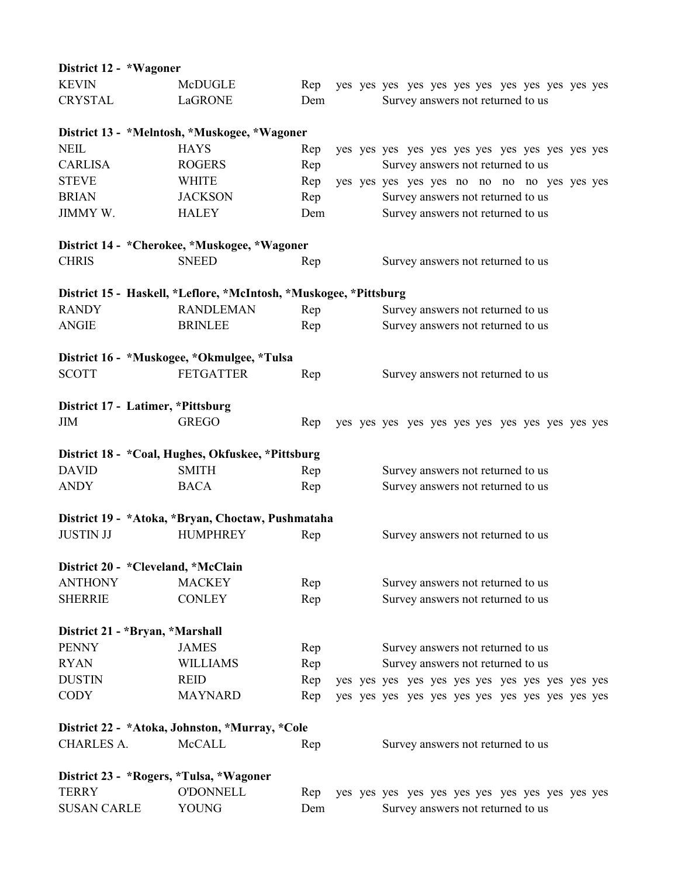| District 12 - *Wagoner                  |                                                                   |     |  |                                             |
|-----------------------------------------|-------------------------------------------------------------------|-----|--|---------------------------------------------|
| <b>KEVIN</b>                            | McDUGLE                                                           | Rep |  |                                             |
| <b>CRYSTAL</b>                          | LaGRONE                                                           | Dem |  | Survey answers not returned to us           |
|                                         | District 13 - *Melntosh, *Muskogee, *Wagoner                      |     |  |                                             |
| <b>NEIL</b>                             | <b>HAYS</b>                                                       | Rep |  |                                             |
| <b>CARLISA</b>                          | <b>ROGERS</b>                                                     | Rep |  | Survey answers not returned to us           |
| <b>STEVE</b>                            | <b>WHITE</b>                                                      | Rep |  | yes yes yes yes yes no no no no yes yes yes |
| <b>BRIAN</b>                            | <b>JACKSON</b>                                                    | Rep |  | Survey answers not returned to us           |
| JIMMY W.                                | <b>HALEY</b>                                                      | Dem |  | Survey answers not returned to us           |
|                                         | District 14 - *Cherokee, *Muskogee, *Wagoner                      |     |  |                                             |
| <b>CHRIS</b>                            | <b>SNEED</b>                                                      | Rep |  | Survey answers not returned to us           |
|                                         | District 15 - Haskell, *Leflore, *McIntosh, *Muskogee, *Pittsburg |     |  |                                             |
| <b>RANDY</b>                            | <b>RANDLEMAN</b>                                                  | Rep |  | Survey answers not returned to us           |
| <b>ANGIE</b>                            | <b>BRINLEE</b>                                                    | Rep |  | Survey answers not returned to us           |
|                                         | District 16 - *Muskogee, *Okmulgee, *Tulsa                        |     |  |                                             |
| <b>SCOTT</b>                            | <b>FETGATTER</b>                                                  | Rep |  | Survey answers not returned to us           |
| District 17 - Latimer, *Pittsburg       |                                                                   |     |  |                                             |
| <b>JIM</b>                              | <b>GREGO</b>                                                      | Rep |  |                                             |
|                                         | District 18 - *Coal, Hughes, Okfuskee, *Pittsburg                 |     |  |                                             |
| <b>DAVID</b>                            | <b>SMITH</b>                                                      | Rep |  | Survey answers not returned to us           |
| <b>ANDY</b>                             | <b>BACA</b>                                                       | Rep |  | Survey answers not returned to us           |
|                                         | District 19 - *Atoka, *Bryan, Choctaw, Pushmataha                 |     |  |                                             |
| <b>JUSTIN JJ</b>                        | <b>HUMPHREY</b>                                                   | Rep |  | Survey answers not returned to us           |
| District 20 - * Cleveland, * McClain    |                                                                   |     |  |                                             |
| <b>ANTHONY</b>                          | <b>MACKEY</b>                                                     | Rep |  | Survey answers not returned to us           |
| <b>SHERRIE</b>                          | <b>CONLEY</b>                                                     | Rep |  | Survey answers not returned to us           |
| District 21 - *Bryan, *Marshall         |                                                                   |     |  |                                             |
| <b>PENNY</b>                            | <b>JAMES</b>                                                      | Rep |  | Survey answers not returned to us           |
| <b>RYAN</b>                             | <b>WILLIAMS</b>                                                   | Rep |  | Survey answers not returned to us           |
| <b>DUSTIN</b>                           | <b>REID</b>                                                       | Rep |  |                                             |
| <b>CODY</b>                             | <b>MAYNARD</b>                                                    | Rep |  |                                             |
|                                         | District 22 - *Atoka, Johnston, *Murray, *Cole                    |     |  |                                             |
| <b>CHARLES A.</b>                       | <b>McCALL</b>                                                     | Rep |  | Survey answers not returned to us           |
| District 23 - *Rogers, *Tulsa, *Wagoner |                                                                   |     |  |                                             |
| <b>TERRY</b>                            | <b>O'DONNELL</b>                                                  | Rep |  |                                             |
| <b>SUSAN CARLE</b>                      | <b>YOUNG</b>                                                      | Dem |  | Survey answers not returned to us           |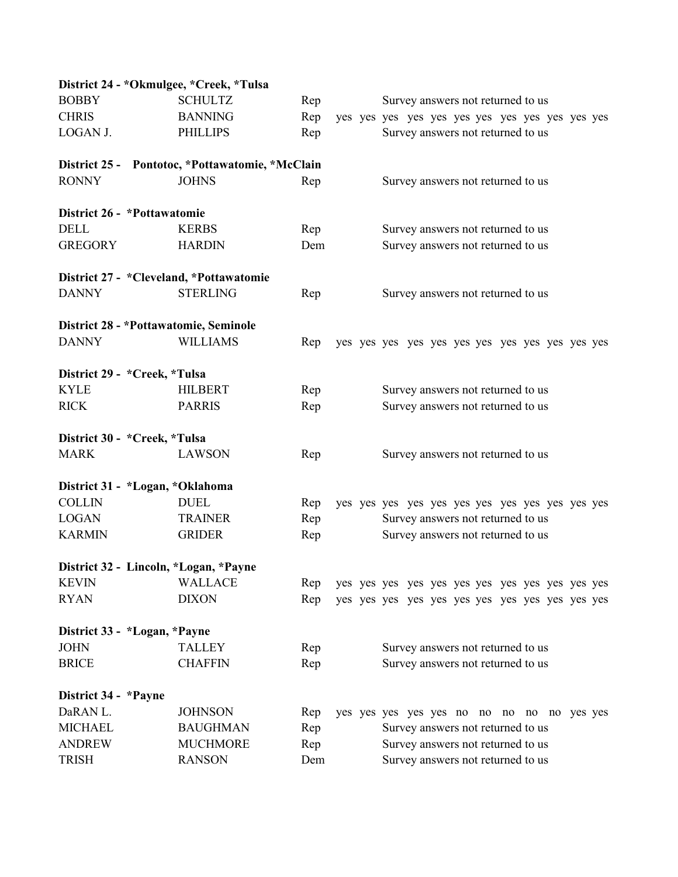| District 24 - *Okmulgee, *Creek, *Tulsa |                                                 |     |  |                                            |
|-----------------------------------------|-------------------------------------------------|-----|--|--------------------------------------------|
| <b>BOBBY</b>                            | <b>SCHULTZ</b>                                  | Rep |  | Survey answers not returned to us          |
| <b>CHRIS</b>                            | <b>BANNING</b>                                  | Rep |  |                                            |
| LOGAN J.                                | <b>PHILLIPS</b>                                 | Rep |  | Survey answers not returned to us          |
|                                         | District 25 - Pontotoc, *Pottawatomie, *McClain |     |  |                                            |
| <b>RONNY</b>                            | <b>JOHNS</b>                                    | Rep |  | Survey answers not returned to us          |
| District 26 - *Pottawatomie             |                                                 |     |  |                                            |
| <b>DELL</b>                             | <b>KERBS</b>                                    | Rep |  | Survey answers not returned to us          |
| <b>GREGORY</b>                          | <b>HARDIN</b>                                   | Dem |  | Survey answers not returned to us          |
| District 27 - *Cleveland, *Pottawatomie |                                                 |     |  |                                            |
| <b>DANNY</b>                            | <b>STERLING</b>                                 | Rep |  | Survey answers not returned to us          |
| District 28 - * Pottawatomie, Seminole  |                                                 |     |  |                                            |
| <b>DANNY</b>                            | <b>WILLIAMS</b>                                 | Rep |  |                                            |
| District 29 - * Creek, * Tulsa          |                                                 |     |  |                                            |
| <b>KYLE</b>                             | <b>HILBERT</b>                                  | Rep |  | Survey answers not returned to us          |
| <b>RICK</b>                             | <b>PARRIS</b>                                   | Rep |  | Survey answers not returned to us          |
| District 30 - * Creek, * Tulsa          |                                                 |     |  |                                            |
| <b>MARK</b>                             | <b>LAWSON</b>                                   | Rep |  | Survey answers not returned to us          |
| District 31 - *Logan, *Oklahoma         |                                                 |     |  |                                            |
| <b>COLLIN</b>                           | <b>DUEL</b>                                     | Rep |  |                                            |
| <b>LOGAN</b>                            | <b>TRAINER</b>                                  | Rep |  | Survey answers not returned to us          |
| <b>KARMIN</b>                           | <b>GRIDER</b>                                   | Rep |  | Survey answers not returned to us          |
| District 32 - Lincoln, *Logan, *Payne   |                                                 |     |  |                                            |
| <b>KEVIN</b>                            | <b>WALLACE</b>                                  | Rep |  |                                            |
| <b>RYAN</b>                             | <b>DIXON</b>                                    | Rep |  |                                            |
| District 33 - *Logan, *Payne            |                                                 |     |  |                                            |
| <b>JOHN</b>                             | <b>TALLEY</b>                                   | Rep |  | Survey answers not returned to us          |
| <b>BRICE</b>                            | <b>CHAFFIN</b>                                  | Rep |  | Survey answers not returned to us          |
| District 34 - *Payne                    |                                                 |     |  |                                            |
| DaRAN L.                                | <b>JOHNSON</b>                                  | Rep |  | yes yes yes yes yes no no no no no yes yes |
| <b>MICHAEL</b>                          | <b>BAUGHMAN</b>                                 | Rep |  | Survey answers not returned to us          |
| <b>ANDREW</b>                           | <b>MUCHMORE</b>                                 | Rep |  | Survey answers not returned to us          |
| <b>TRISH</b>                            | <b>RANSON</b>                                   | Dem |  | Survey answers not returned to us          |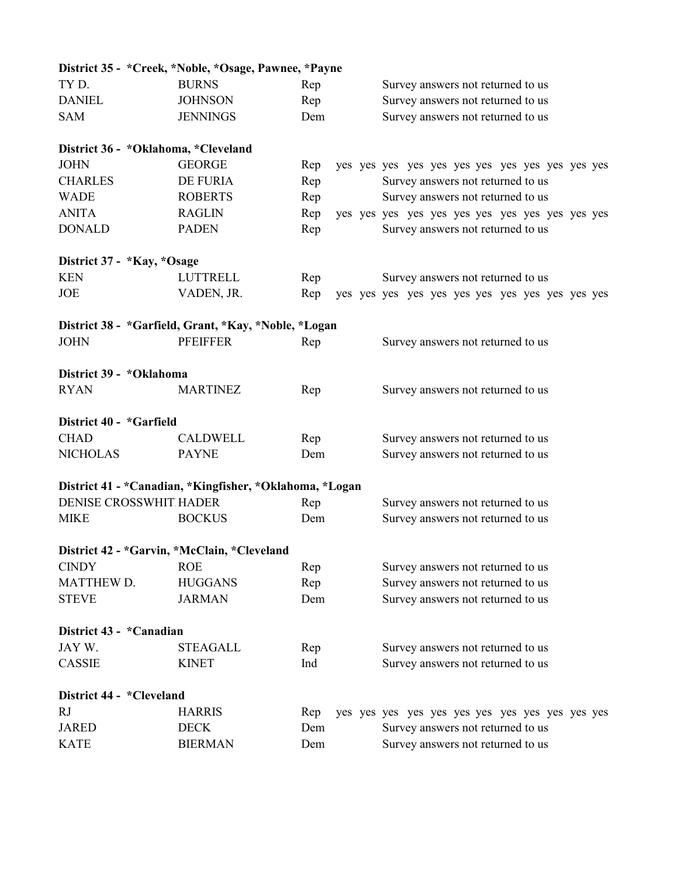|                                       | District 35 - *Creek, *Noble, *Osage, Pawnee, *Payne    |     |                                   |
|---------------------------------------|---------------------------------------------------------|-----|-----------------------------------|
| TYD.                                  | <b>BURNS</b>                                            | Rep | Survey answers not returned to us |
| <b>DANIEL</b>                         | <b>JOHNSON</b>                                          | Rep | Survey answers not returned to us |
| <b>SAM</b>                            | <b>JENNINGS</b>                                         | Dem | Survey answers not returned to us |
| District 36 - * Oklahoma, * Cleveland |                                                         |     |                                   |
| <b>JOHN</b>                           | <b>GEORGE</b>                                           | Rep |                                   |
| <b>CHARLES</b>                        | DE FURIA                                                | Rep | Survey answers not returned to us |
| <b>WADE</b>                           | <b>ROBERTS</b>                                          | Rep | Survey answers not returned to us |
| <b>ANITA</b>                          | <b>RAGLIN</b>                                           | Rep |                                   |
| <b>DONALD</b>                         | <b>PADEN</b>                                            | Rep | Survey answers not returned to us |
| District 37 - *Kay, *Osage            |                                                         |     |                                   |
| <b>KEN</b>                            | <b>LUTTRELL</b>                                         | Rep | Survey answers not returned to us |
| <b>JOE</b>                            | VADEN, JR.                                              | Rep |                                   |
|                                       | District 38 - *Garfield, Grant, *Kay, *Noble, *Logan    |     |                                   |
| <b>JOHN</b>                           | <b>PFEIFFER</b>                                         | Rep | Survey answers not returned to us |
| District 39 - *Oklahoma               |                                                         |     |                                   |
| <b>RYAN</b>                           | <b>MARTINEZ</b>                                         | Rep | Survey answers not returned to us |
| District 40 - *Garfield               |                                                         |     |                                   |
| <b>CHAD</b>                           | <b>CALDWELL</b>                                         | Rep | Survey answers not returned to us |
| <b>NICHOLAS</b>                       | <b>PAYNE</b>                                            | Dem | Survey answers not returned to us |
|                                       | District 41 - *Canadian, *Kingfisher, *Oklahoma, *Logan |     |                                   |
| DENISE CROSSWHIT HADER                |                                                         | Rep | Survey answers not returned to us |
| <b>MIKE</b>                           | <b>BOCKUS</b>                                           | Dem | Survey answers not returned to us |
|                                       | District 42 - *Garvin, *McClain, *Cleveland             |     |                                   |
| <b>CINDY</b>                          | <b>ROE</b>                                              | Rep | Survey answers not returned to us |
| <b>MATTHEW D.</b>                     | <b>HUGGANS</b>                                          | Rep | Survey answers not returned to us |
| <b>STEVE</b>                          | <b>JARMAN</b>                                           | Dem | Survey answers not returned to us |
| District 43 - *Canadian               |                                                         |     |                                   |
| JAY W.                                | <b>STEAGALL</b>                                         | Rep | Survey answers not returned to us |
| <b>CASSIE</b>                         | <b>KINET</b>                                            | Ind | Survey answers not returned to us |
| District 44 - *Cleveland              |                                                         |     |                                   |
| RJ                                    | <b>HARRIS</b>                                           | Rep |                                   |
| <b>JARED</b>                          | <b>DECK</b>                                             | Dem | Survey answers not returned to us |
| <b>KATE</b>                           | <b>BIERMAN</b>                                          | Dem | Survey answers not returned to us |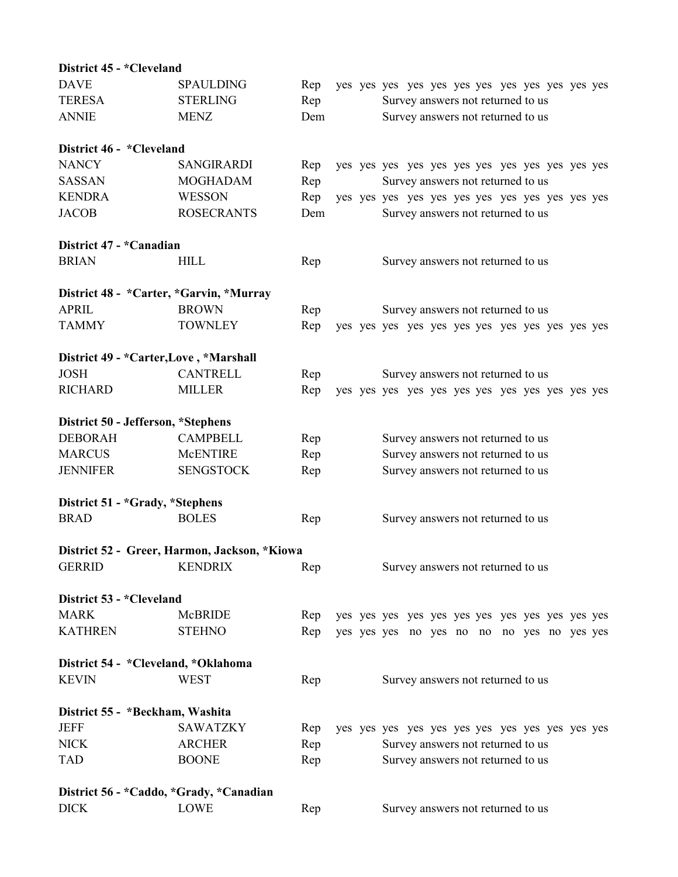| District 45 - *Cleveland                |                                              |     |  |                                            |
|-----------------------------------------|----------------------------------------------|-----|--|--------------------------------------------|
| <b>DAVE</b>                             | <b>SPAULDING</b>                             | Rep |  |                                            |
| <b>TERESA</b>                           | <b>STERLING</b>                              | Rep |  | Survey answers not returned to us          |
| <b>ANNIE</b>                            | <b>MENZ</b>                                  | Dem |  | Survey answers not returned to us          |
| District 46 - *Cleveland                |                                              |     |  |                                            |
| <b>NANCY</b>                            | <b>SANGIRARDI</b>                            | Rep |  |                                            |
| <b>SASSAN</b>                           | <b>MOGHADAM</b>                              | Rep |  | Survey answers not returned to us          |
| <b>KENDRA</b>                           | <b>WESSON</b>                                | Rep |  |                                            |
| <b>JACOB</b>                            | <b>ROSECRANTS</b>                            | Dem |  | Survey answers not returned to us          |
| District 47 - *Canadian                 |                                              |     |  |                                            |
| <b>BRIAN</b>                            | <b>HILL</b>                                  | Rep |  | Survey answers not returned to us          |
| District 48 - *Carter, *Garvin, *Murray |                                              |     |  |                                            |
| <b>APRIL</b>                            | <b>BROWN</b>                                 | Rep |  | Survey answers not returned to us          |
| <b>TAMMY</b>                            | <b>TOWNLEY</b>                               | Rep |  |                                            |
| District 49 - *Carter, Love, *Marshall  |                                              |     |  |                                            |
| <b>JOSH</b>                             | <b>CANTRELL</b>                              | Rep |  | Survey answers not returned to us          |
| <b>RICHARD</b>                          | <b>MILLER</b>                                | Rep |  |                                            |
| District 50 - Jefferson, *Stephens      |                                              |     |  |                                            |
| <b>DEBORAH</b>                          | <b>CAMPBELL</b>                              | Rep |  | Survey answers not returned to us          |
| <b>MARCUS</b>                           | <b>McENTIRE</b>                              | Rep |  | Survey answers not returned to us          |
| <b>JENNIFER</b>                         | <b>SENGSTOCK</b>                             | Rep |  | Survey answers not returned to us          |
| District 51 - *Grady, *Stephens         |                                              |     |  |                                            |
| <b>BRAD</b>                             | <b>BOLES</b>                                 | Rep |  | Survey answers not returned to us          |
|                                         | District 52 - Greer, Harmon, Jackson, *Kiowa |     |  |                                            |
| <b>GERRID</b>                           | <b>KENDRIX</b>                               | Rep |  | Survey answers not returned to us          |
| District 53 - *Cleveland                |                                              |     |  |                                            |
| <b>MARK</b>                             | McBRIDE                                      | Rep |  |                                            |
| <b>KATHREN</b>                          | <b>STEHNO</b>                                | Rep |  | yes yes yes no yes no no no yes no yes yes |
| District 54 - *Cleveland, *Oklahoma     |                                              |     |  |                                            |
| <b>KEVIN</b>                            | <b>WEST</b>                                  | Rep |  | Survey answers not returned to us          |
| District 55 - *Beckham, Washita         |                                              |     |  |                                            |
| <b>JEFF</b>                             | <b>SAWATZKY</b>                              | Rep |  |                                            |
| <b>NICK</b>                             | <b>ARCHER</b>                                | Rep |  | Survey answers not returned to us          |
| <b>TAD</b>                              | <b>BOONE</b>                                 | Rep |  | Survey answers not returned to us          |
| District 56 - *Caddo, *Grady, *Canadian |                                              |     |  |                                            |
| <b>DICK</b>                             | LOWE                                         | Rep |  | Survey answers not returned to us          |
|                                         |                                              |     |  |                                            |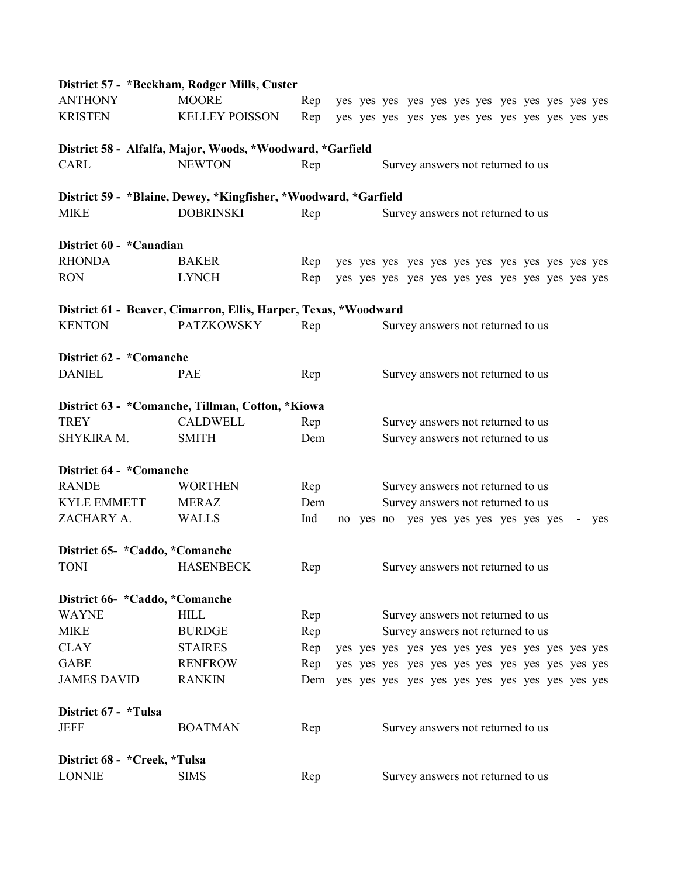|                                | District 57 - *Beckham, Rodger Mills, Custer                    |     |  |  |                                     |  |  |     |
|--------------------------------|-----------------------------------------------------------------|-----|--|--|-------------------------------------|--|--|-----|
| <b>ANTHONY</b>                 | <b>MOORE</b>                                                    | Rep |  |  |                                     |  |  |     |
| <b>KRISTEN</b>                 | <b>KELLEY POISSON</b>                                           | Rep |  |  |                                     |  |  |     |
|                                | District 58 - Alfalfa, Major, Woods, *Woodward, *Garfield       |     |  |  |                                     |  |  |     |
| CARL                           | <b>NEWTON</b>                                                   | Rep |  |  | Survey answers not returned to us   |  |  |     |
|                                | District 59 - *Blaine, Dewey, *Kingfisher, *Woodward, *Garfield |     |  |  |                                     |  |  |     |
| <b>MIKE</b>                    | <b>DOBRINSKI</b>                                                | Rep |  |  | Survey answers not returned to us   |  |  |     |
| District 60 - *Canadian        |                                                                 |     |  |  |                                     |  |  |     |
| <b>RHONDA</b>                  | <b>BAKER</b>                                                    | Rep |  |  |                                     |  |  |     |
| <b>RON</b>                     | <b>LYNCH</b>                                                    | Rep |  |  |                                     |  |  |     |
|                                | District 61 - Beaver, Cimarron, Ellis, Harper, Texas, *Woodward |     |  |  |                                     |  |  |     |
| <b>KENTON</b>                  | <b>PATZKOWSKY</b>                                               | Rep |  |  | Survey answers not returned to us   |  |  |     |
| District 62 - *Comanche        |                                                                 |     |  |  |                                     |  |  |     |
| <b>DANIEL</b>                  | <b>PAE</b>                                                      | Rep |  |  | Survey answers not returned to us   |  |  |     |
|                                | District 63 - *Comanche, Tillman, Cotton, *Kiowa                |     |  |  |                                     |  |  |     |
| <b>TREY</b>                    | <b>CALDWELL</b>                                                 | Rep |  |  | Survey answers not returned to us   |  |  |     |
| SHYKIRA M.                     | <b>SMITH</b>                                                    | Dem |  |  | Survey answers not returned to us   |  |  |     |
| District 64 - *Comanche        |                                                                 |     |  |  |                                     |  |  |     |
| <b>RANDE</b>                   | <b>WORTHEN</b>                                                  | Rep |  |  | Survey answers not returned to us   |  |  |     |
| <b>KYLE EMMETT</b>             | <b>MERAZ</b>                                                    | Dem |  |  | Survey answers not returned to us   |  |  |     |
| ZACHARY A.                     | <b>WALLS</b>                                                    | Ind |  |  | no yes no yes yes yes yes yes yes - |  |  | yes |
|                                | District 65- *Caddo, *Comanche                                  |     |  |  |                                     |  |  |     |
| <b>TONI</b>                    | <b>HASENBECK</b>                                                | Rep |  |  | Survey answers not returned to us   |  |  |     |
|                                | District 66- *Caddo, *Comanche                                  |     |  |  |                                     |  |  |     |
| <b>WAYNE</b>                   | <b>HILL</b>                                                     | Rep |  |  | Survey answers not returned to us   |  |  |     |
| <b>MIKE</b>                    | <b>BURDGE</b>                                                   | Rep |  |  | Survey answers not returned to us   |  |  |     |
| <b>CLAY</b>                    | <b>STAIRES</b>                                                  | Rep |  |  |                                     |  |  |     |
| <b>GABE</b>                    | <b>RENFROW</b>                                                  | Rep |  |  |                                     |  |  |     |
| <b>JAMES DAVID</b>             | <b>RANKIN</b>                                                   |     |  |  |                                     |  |  |     |
| District 67 - *Tulsa           |                                                                 |     |  |  |                                     |  |  |     |
| <b>JEFF</b>                    | <b>BOATMAN</b>                                                  | Rep |  |  | Survey answers not returned to us   |  |  |     |
| District 68 - * Creek, * Tulsa |                                                                 |     |  |  |                                     |  |  |     |
| <b>LONNIE</b>                  | <b>SIMS</b>                                                     | Rep |  |  | Survey answers not returned to us   |  |  |     |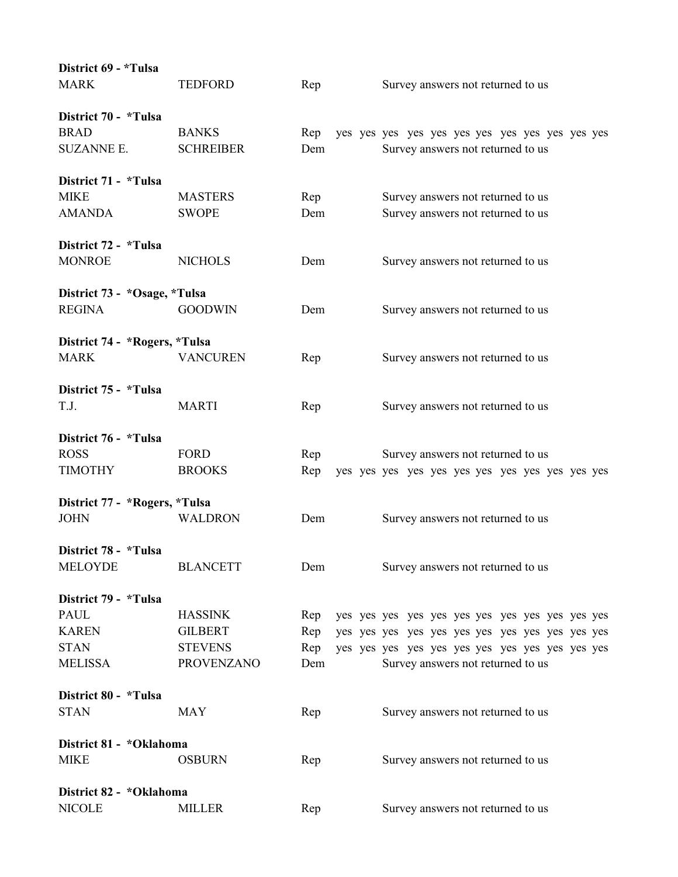| District 69 - *Tulsa          |                   |     |                                   |
|-------------------------------|-------------------|-----|-----------------------------------|
| <b>MARK</b>                   | <b>TEDFORD</b>    | Rep | Survey answers not returned to us |
| District 70 - *Tulsa          |                   |     |                                   |
| <b>BRAD</b>                   | <b>BANKS</b>      | Rep |                                   |
| <b>SUZANNE E.</b>             | <b>SCHREIBER</b>  | Dem | Survey answers not returned to us |
| District 71 - *Tulsa          |                   |     |                                   |
| <b>MIKE</b>                   | <b>MASTERS</b>    | Rep | Survey answers not returned to us |
| <b>AMANDA</b>                 | <b>SWOPE</b>      | Dem | Survey answers not returned to us |
| District 72 - *Tulsa          |                   |     |                                   |
| <b>MONROE</b>                 | <b>NICHOLS</b>    | Dem | Survey answers not returned to us |
| District 73 - *Osage, *Tulsa  |                   |     |                                   |
| <b>REGINA</b>                 | <b>GOODWIN</b>    | Dem | Survey answers not returned to us |
| District 74 - *Rogers, *Tulsa |                   |     |                                   |
| <b>MARK</b>                   | <b>VANCUREN</b>   | Rep | Survey answers not returned to us |
| District 75 - *Tulsa          |                   |     |                                   |
| T.J.                          | <b>MARTI</b>      | Rep | Survey answers not returned to us |
| District 76 - *Tulsa          |                   |     |                                   |
| <b>ROSS</b>                   | <b>FORD</b>       | Rep | Survey answers not returned to us |
| <b>TIMOTHY</b>                | <b>BROOKS</b>     | Rep |                                   |
| District 77 - *Rogers, *Tulsa |                   |     |                                   |
| <b>JOHN</b>                   | <b>WALDRON</b>    | Dem | Survey answers not returned to us |
| District 78 - *Tulsa          |                   |     |                                   |
| <b>MELOYDE</b>                | <b>BLANCETT</b>   | Dem | Survey answers not returned to us |
| District 79 - *Tulsa          |                   |     |                                   |
| <b>PAUL</b>                   | <b>HASSINK</b>    | Rep |                                   |
| <b>KAREN</b>                  | <b>GILBERT</b>    | Rep |                                   |
| <b>STAN</b>                   | <b>STEVENS</b>    | Rep |                                   |
| <b>MELISSA</b>                | <b>PROVENZANO</b> | Dem | Survey answers not returned to us |
| District 80 - *Tulsa          |                   |     |                                   |
| <b>STAN</b>                   | <b>MAY</b>        | Rep | Survey answers not returned to us |
| District 81 - *Oklahoma       |                   |     |                                   |
| <b>MIKE</b>                   | <b>OSBURN</b>     | Rep | Survey answers not returned to us |
| District 82 - *Oklahoma       |                   |     |                                   |
| <b>NICOLE</b>                 | <b>MILLER</b>     | Rep | Survey answers not returned to us |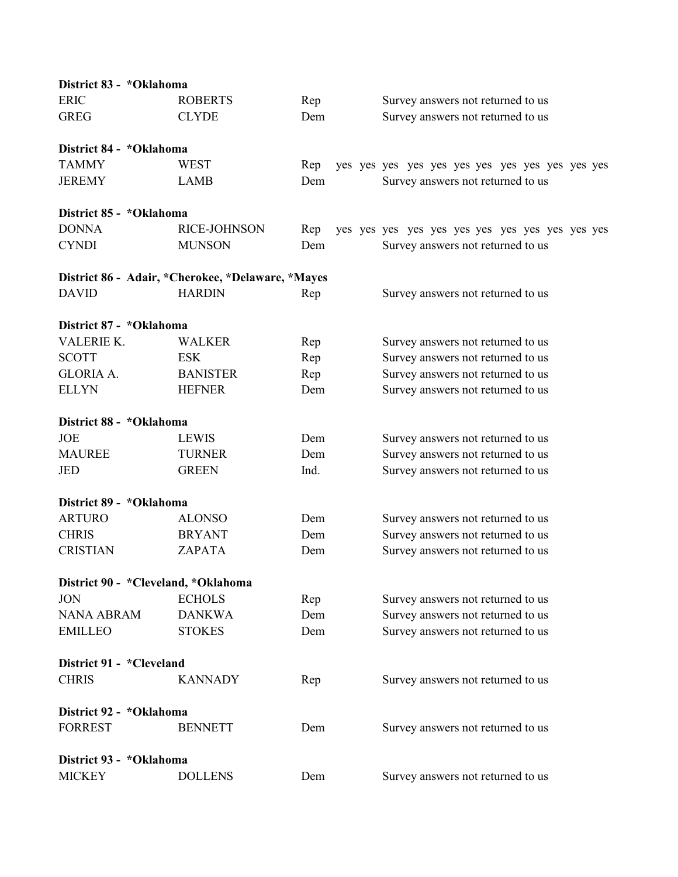| District 83 - *Oklahoma               |                                                   |      |                                   |
|---------------------------------------|---------------------------------------------------|------|-----------------------------------|
| <b>ERIC</b>                           | <b>ROBERTS</b>                                    | Rep  | Survey answers not returned to us |
| <b>GREG</b>                           | <b>CLYDE</b>                                      | Dem  | Survey answers not returned to us |
| District 84 - *Oklahoma               |                                                   |      |                                   |
| <b>TAMMY</b>                          | WEST                                              | Rep  |                                   |
| <b>JEREMY</b>                         | <b>LAMB</b>                                       | Dem  | Survey answers not returned to us |
| District 85 - *Oklahoma               |                                                   |      |                                   |
| <b>DONNA</b>                          | RICE-JOHNSON                                      | Rep  |                                   |
| <b>CYNDI</b>                          | <b>MUNSON</b>                                     | Dem  | Survey answers not returned to us |
|                                       | District 86 - Adair, *Cherokee, *Delaware, *Mayes |      |                                   |
| <b>DAVID</b>                          | <b>HARDIN</b>                                     | Rep  | Survey answers not returned to us |
| District 87 - *Oklahoma               |                                                   |      |                                   |
| <b>VALERIE K.</b>                     | <b>WALKER</b>                                     | Rep  | Survey answers not returned to us |
| <b>SCOTT</b>                          | <b>ESK</b>                                        | Rep  | Survey answers not returned to us |
| <b>GLORIA A.</b>                      | <b>BANISTER</b>                                   | Rep  | Survey answers not returned to us |
| <b>ELLYN</b>                          | <b>HEFNER</b>                                     | Dem  | Survey answers not returned to us |
| District 88 - *Oklahoma               |                                                   |      |                                   |
| JOE                                   | <b>LEWIS</b>                                      | Dem  | Survey answers not returned to us |
| <b>MAUREE</b>                         | <b>TURNER</b>                                     | Dem  | Survey answers not returned to us |
| JED                                   | <b>GREEN</b>                                      | Ind. | Survey answers not returned to us |
| District 89 - *Oklahoma               |                                                   |      |                                   |
| <b>ARTURO</b>                         | <b>ALONSO</b>                                     | Dem  | Survey answers not returned to us |
| <b>CHRIS</b>                          | <b>BRYANT</b>                                     | Dem  | Survey answers not returned to us |
| <b>CRISTIAN</b>                       | ZAPATA                                            | Dem  | Survey answers not returned to us |
| District 90 - * Cleveland, * Oklahoma |                                                   |      |                                   |
| <b>JON</b>                            | <b>ECHOLS</b>                                     | Rep  | Survey answers not returned to us |
| <b>NANA ABRAM</b>                     | <b>DANKWA</b>                                     | Dem  | Survey answers not returned to us |
| <b>EMILLEO</b>                        | <b>STOKES</b>                                     | Dem  | Survey answers not returned to us |
| District 91 - *Cleveland              |                                                   |      |                                   |
| <b>CHRIS</b>                          | <b>KANNADY</b>                                    | Rep  | Survey answers not returned to us |
| District 92 - *Oklahoma               |                                                   |      |                                   |
| <b>FORREST</b>                        | <b>BENNETT</b>                                    | Dem  | Survey answers not returned to us |
| District 93 - *Oklahoma               |                                                   |      |                                   |
| <b>MICKEY</b>                         | <b>DOLLENS</b>                                    | Dem  | Survey answers not returned to us |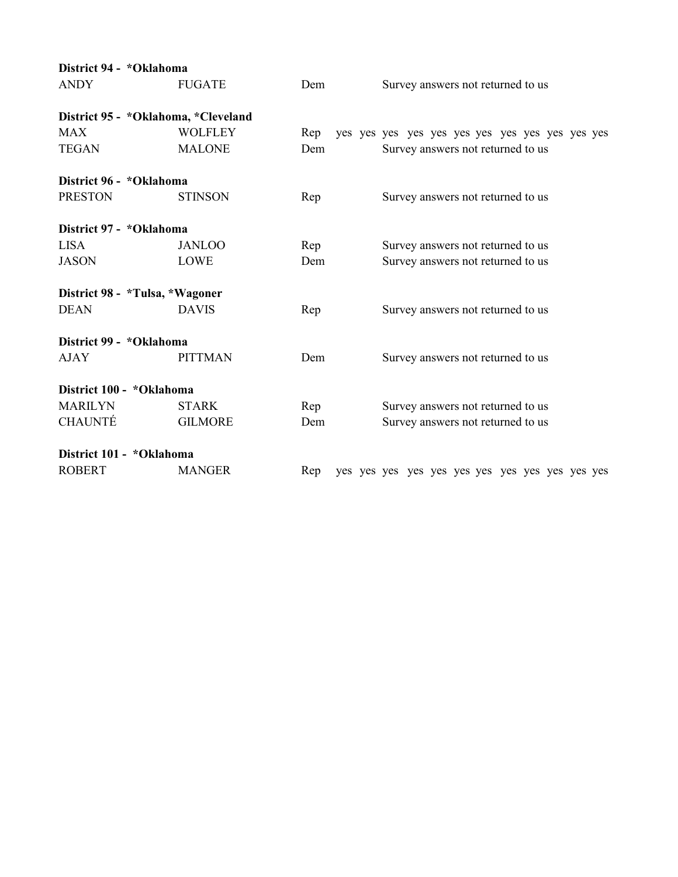| District 94 - *Oklahoma |                                     |     |                                   |
|-------------------------|-------------------------------------|-----|-----------------------------------|
| <b>ANDY</b>             | <b>FUGATE</b>                       | Dem | Survey answers not returned to us |
|                         | District 95 - *Oklahoma, *Cleveland |     |                                   |
| <b>MAX</b>              | <b>WOLFLEY</b>                      | Rep |                                   |
| <b>TEGAN</b>            | <b>MALONE</b>                       | Dem | Survey answers not returned to us |
| District 96 - *Oklahoma |                                     |     |                                   |
| <b>PRESTON</b>          | <b>STINSON</b>                      | Rep | Survey answers not returned to us |
| District 97 - *Oklahoma |                                     |     |                                   |
| <b>LISA</b>             | <b>JANLOO</b>                       | Rep | Survey answers not returned to us |
| <b>JASON</b>            | <b>LOWE</b>                         | Dem | Survey answers not returned to us |
|                         | District 98 - *Tulsa, *Wagoner      |     |                                   |
| <b>DEAN</b>             | <b>DAVIS</b>                        | Rep | Survey answers not returned to us |
| District 99 - *Oklahoma |                                     |     |                                   |
| <b>AJAY</b>             | <b>PITTMAN</b>                      | Dem | Survey answers not returned to us |
|                         | District 100 - *Oklahoma            |     |                                   |
| <b>MARILYN</b>          | <b>STARK</b>                        | Rep | Survey answers not returned to us |
| <b>CHAUNTÉ</b>          | <b>GILMORE</b>                      | Dem | Survey answers not returned to us |
|                         | District 101 - *Oklahoma            |     |                                   |
| <b>ROBERT</b>           | <b>MANGER</b>                       | Rep |                                   |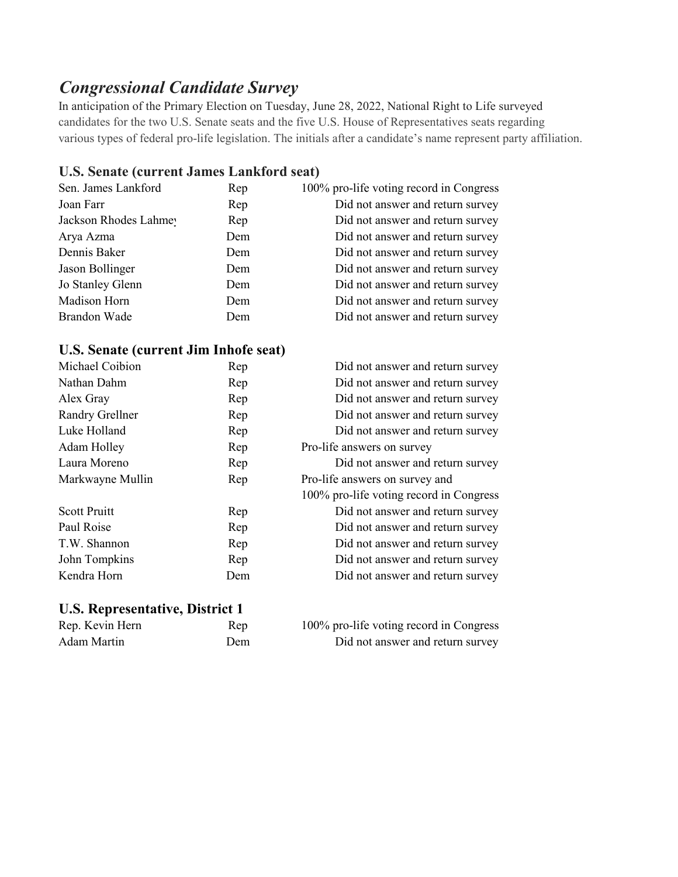## *Congressional Candidate Survey*

In anticipation of the Primary Election on Tuesday, June 28, 2022, National Right to Life surveyed candidates for the two U.S. Senate seats and the five U.S. House of Representatives seats regarding various types of federal pro-life legislation. The initials after a candidate's name represent party affiliation.

#### **U.S. Senate (current James Lankford seat)**

| Rep | 100% pro-life voting record in Congress |
|-----|-----------------------------------------|
| Rep | Did not answer and return survey        |
| Rep | Did not answer and return survey        |
| Dem | Did not answer and return survey        |
| Dem | Did not answer and return survey        |
| Dem | Did not answer and return survey        |
| Dem | Did not answer and return survey        |
| Dem | Did not answer and return survey        |
| Dem | Did not answer and return survey        |
|     |                                         |

#### **U.S. Senate (current Jim Inhofe seat)**

| Michael Coibion        | Rep | Did not answer and return survey        |
|------------------------|-----|-----------------------------------------|
| Nathan Dahm            | Rep | Did not answer and return survey        |
| Alex Gray              | Rep | Did not answer and return survey        |
| <b>Randry Grellner</b> | Rep | Did not answer and return survey        |
| Luke Holland           | Rep | Did not answer and return survey        |
| Adam Holley            | Rep | Pro-life answers on survey              |
| Laura Moreno           | Rep | Did not answer and return survey        |
| Markwayne Mullin       | Rep | Pro-life answers on survey and          |
|                        |     | 100% pro-life voting record in Congress |
| <b>Scott Pruitt</b>    | Rep | Did not answer and return survey        |
| Paul Roise             | Rep | Did not answer and return survey        |
| T.W. Shannon           | Rep | Did not answer and return survey        |
| John Tompkins          | Rep | Did not answer and return survey        |
| Kendra Horn            | Dem | Did not answer and return survey        |
|                        |     |                                         |

#### **U.S. Representative, District 1**

| Rep. Kevin Hern | Rep | 100% pro-life voting record in Congress |
|-----------------|-----|-----------------------------------------|
| Adam Martin     | Dem | Did not answer and return survey        |